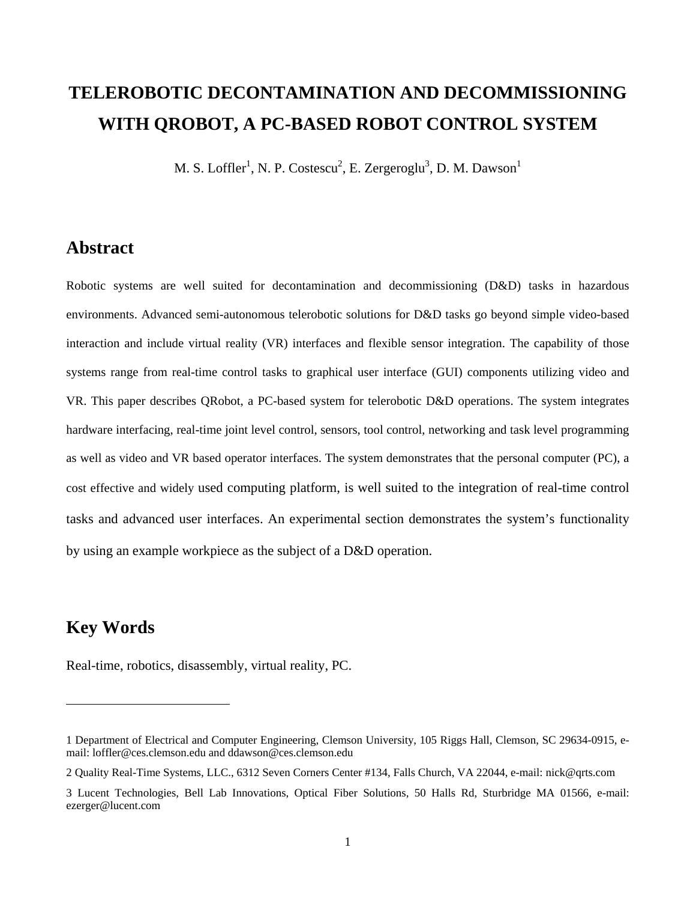# **TELEROBOTIC DECONTAMINATION AND DECOMMISSIONING WITH QROBOT, A PC-BASED ROBOT CONTROL SYSTEM**

M. S. Loffler<sup>1</sup>, N. P. Costescu<sup>2</sup>, E. Zergeroglu<sup>3</sup>, D. M. Dawson<sup>1</sup>

### **Abstract**

Robotic systems are well suited for decontamination and decommissioning (D&D) tasks in hazardous environments. Advanced semi-autonomous telerobotic solutions for D&D tasks go beyond simple video-based interaction and include virtual reality (VR) interfaces and flexible sensor integration. The capability of those systems range from real-time control tasks to graphical user interface (GUI) components utilizing video and VR. This paper describes QRobot, a PC-based system for telerobotic D&D operations. The system integrates hardware interfacing, real-time joint level control, sensors, tool control, networking and task level programming as well as video and VR based operator interfaces. The system demonstrates that the personal computer (PC), a cost effective and widely used computing platform, is well suited to the integration of real-time control tasks and advanced user interfaces. An experimental section demonstrates the system's functionality by using an example workpiece as the subject of a D&D operation.

# **Key Words**

1

Real-time, robotics, disassembly, virtual reality, PC.

<sup>1</sup> Department of Electrical and Computer Engineering, Clemson University, 105 Riggs Hall, Clemson, SC 29634-0915, email: loffler@ces.clemson.edu and ddawson@ces.clemson.edu

<sup>2</sup> Quality Real-Time Systems, LLC., 6312 Seven Corners Center #134, Falls Church, VA 22044, e-mail: nick@qrts.com

<sup>3</sup> Lucent Technologies, Bell Lab Innovations, Optical Fiber Solutions, 50 Halls Rd, Sturbridge MA 01566, e-mail: ezerger@lucent.com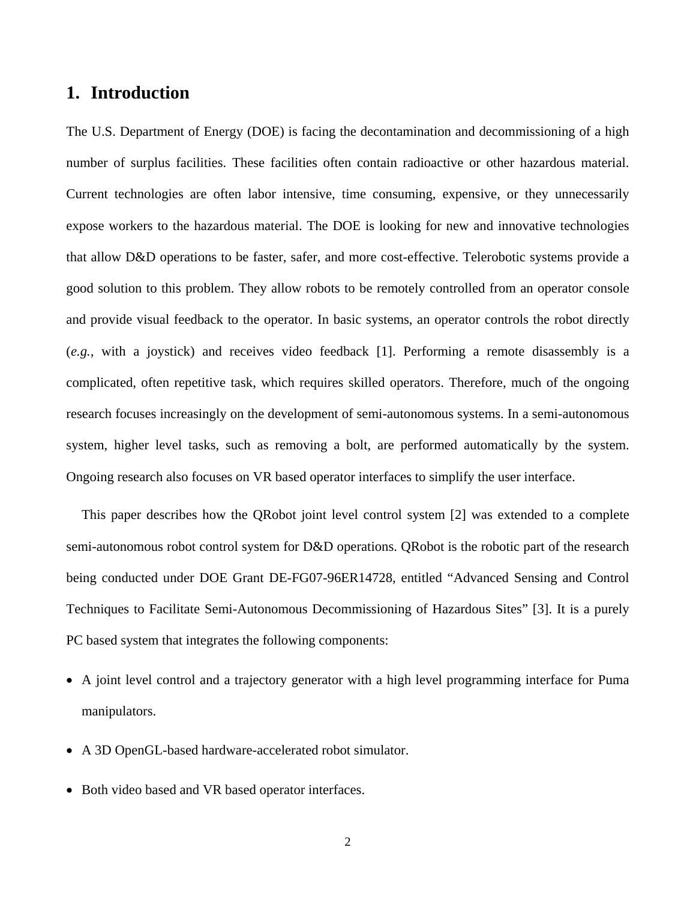# **1. Introduction**

The U.S. Department of Energy (DOE) is facing the decontamination and decommissioning of a high number of surplus facilities. These facilities often contain radioactive or other hazardous material. Current technologies are often labor intensive, time consuming, expensive, or they unnecessarily expose workers to the hazardous material. The DOE is looking for new and innovative technologies that allow D&D operations to be faster, safer, and more cost-effective. Telerobotic systems provide a good solution to this problem. They allow robots to be remotely controlled from an operator console and provide visual feedback to the operator. In basic systems, an operator controls the robot directly (*e.g.,* with a joystick) and receives video feedback [1]. Performing a remote disassembly is a complicated, often repetitive task, which requires skilled operators. Therefore, much of the ongoing research focuses increasingly on the development of semi-autonomous systems. In a semi-autonomous system, higher level tasks, such as removing a bolt, are performed automatically by the system. Ongoing research also focuses on VR based operator interfaces to simplify the user interface.

This paper describes how the QRobot joint level control system [2] was extended to a complete semi-autonomous robot control system for D&D operations. QRobot is the robotic part of the research being conducted under DOE Grant DE-FG07-96ER14728, entitled "Advanced Sensing and Control Techniques to Facilitate Semi-Autonomous Decommissioning of Hazardous Sites" [3]. It is a purely PC based system that integrates the following components:

- A joint level control and a trajectory generator with a high level programming interface for Puma manipulators.
- A 3D OpenGL-based hardware-accelerated robot simulator.
- Both video based and VR based operator interfaces.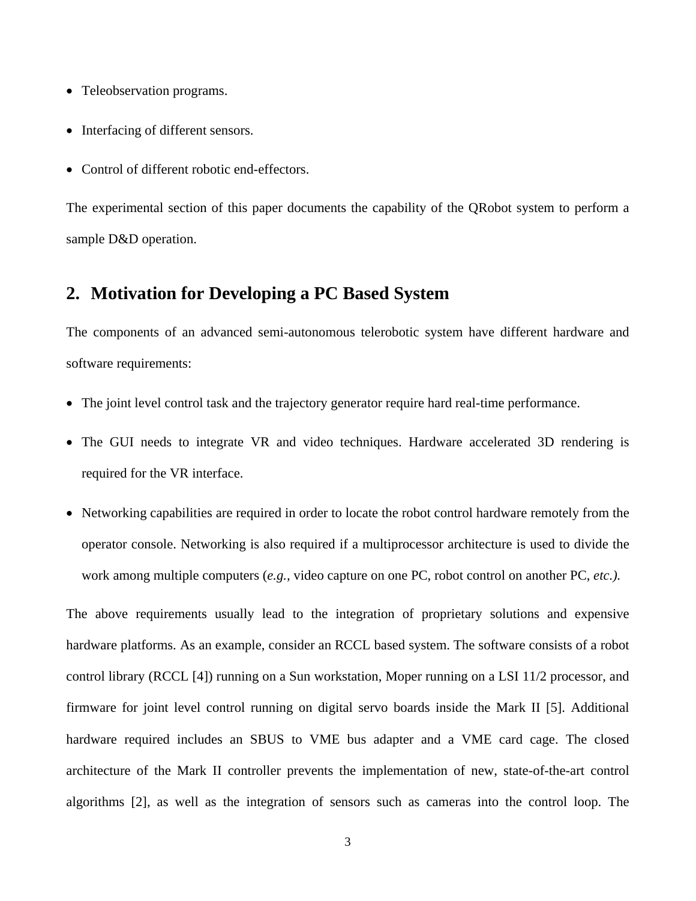- Teleobservation programs.
- Interfacing of different sensors.
- Control of different robotic end-effectors.

The experimental section of this paper documents the capability of the QRobot system to perform a sample D&D operation.

# **2. Motivation for Developing a PC Based System**

The components of an advanced semi-autonomous telerobotic system have different hardware and software requirements:

- The joint level control task and the trajectory generator require hard real-time performance.
- The GUI needs to integrate VR and video techniques. Hardware accelerated 3D rendering is required for the VR interface.
- Networking capabilities are required in order to locate the robot control hardware remotely from the operator console. Networking is also required if a multiprocessor architecture is used to divide the work among multiple computers (*e.g.,* video capture on one PC, robot control on another PC, *etc.).*

The above requirements usually lead to the integration of proprietary solutions and expensive hardware platforms. As an example, consider an RCCL based system. The software consists of a robot control library (RCCL [4]) running on a Sun workstation, Moper running on a LSI 11/2 processor, and firmware for joint level control running on digital servo boards inside the Mark II [5]. Additional hardware required includes an SBUS to VME bus adapter and a VME card cage. The closed architecture of the Mark II controller prevents the implementation of new, state-of-the-art control algorithms [2], as well as the integration of sensors such as cameras into the control loop. The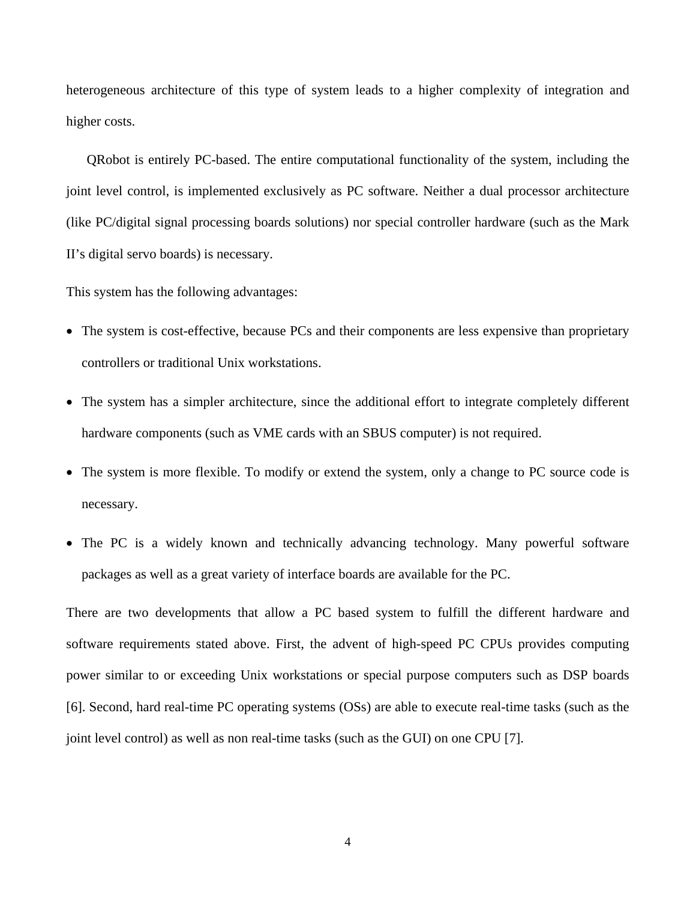heterogeneous architecture of this type of system leads to a higher complexity of integration and higher costs.

QRobot is entirely PC-based. The entire computational functionality of the system, including the joint level control, is implemented exclusively as PC software. Neither a dual processor architecture (like PC/digital signal processing boards solutions) nor special controller hardware (such as the Mark II's digital servo boards) is necessary.

This system has the following advantages:

- The system is cost-effective, because PCs and their components are less expensive than proprietary controllers or traditional Unix workstations.
- The system has a simpler architecture, since the additional effort to integrate completely different hardware components (such as VME cards with an SBUS computer) is not required.
- The system is more flexible. To modify or extend the system, only a change to PC source code is necessary.
- The PC is a widely known and technically advancing technology. Many powerful software packages as well as a great variety of interface boards are available for the PC.

There are two developments that allow a PC based system to fulfill the different hardware and software requirements stated above. First, the advent of high-speed PC CPUs provides computing power similar to or exceeding Unix workstations or special purpose computers such as DSP boards [6]. Second, hard real-time PC operating systems (OSs) are able to execute real-time tasks (such as the joint level control) as well as non real-time tasks (such as the GUI) on one CPU [7].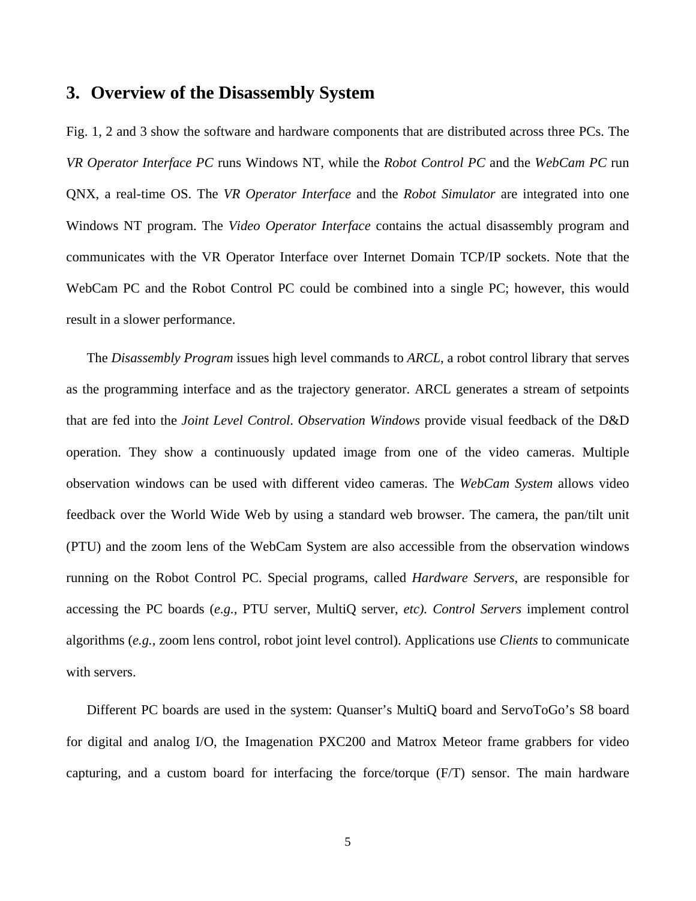### **3. Overview of the Disassembly System**

Fig. 1, 2 and 3 show the software and hardware components that are distributed across three PCs. The *VR Operator Interface PC* runs Windows NT, while the *Robot Control PC* and the *WebCam PC* run QNX, a real-time OS. The *VR Operator Interface* and the *Robot Simulator* are integrated into one Windows NT program. The *Video Operator Interface* contains the actual disassembly program and communicates with the VR Operator Interface over Internet Domain TCP/IP sockets. Note that the WebCam PC and the Robot Control PC could be combined into a single PC; however, this would result in a slower performance.

The *Disassembly Program* issues high level commands to *ARCL*, a robot control library that serves as the programming interface and as the trajectory generator. ARCL generates a stream of setpoints that are fed into the *Joint Level Control*. *Observation Windows* provide visual feedback of the D&D operation. They show a continuously updated image from one of the video cameras. Multiple observation windows can be used with different video cameras. The *WebCam System* allows video feedback over the World Wide Web by using a standard web browser. The camera, the pan/tilt unit (PTU) and the zoom lens of the WebCam System are also accessible from the observation windows running on the Robot Control PC. Special programs, called *Hardware Servers*, are responsible for accessing the PC boards (*e.g.,* PTU server, MultiQ server, *etc). Control Servers* implement control algorithms (*e.g.,* zoom lens control, robot joint level control). Applications use *Clients* to communicate with servers.

Different PC boards are used in the system: Quanser's MultiQ board and ServoToGo's S8 board for digital and analog I/O, the Imagenation PXC200 and Matrox Meteor frame grabbers for video capturing, and a custom board for interfacing the force/torque (F/T) sensor. The main hardware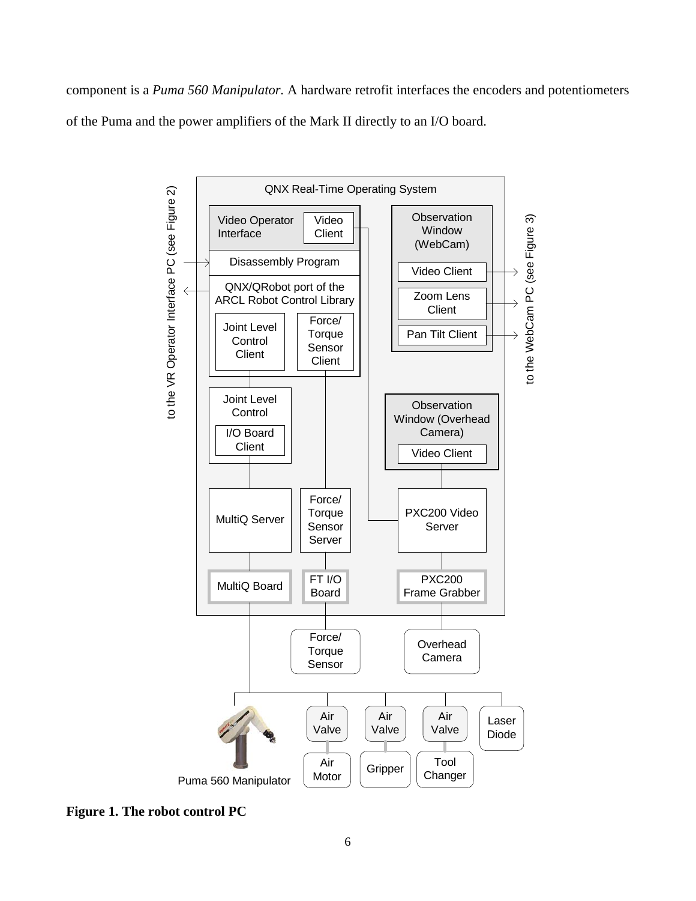component is a *Puma 560 Manipulator.* A hardware retrofit interfaces the encoders and potentiometers of the Puma and the power amplifiers of the Mark II directly to an I/O board.



**Figure 1. The robot control PC**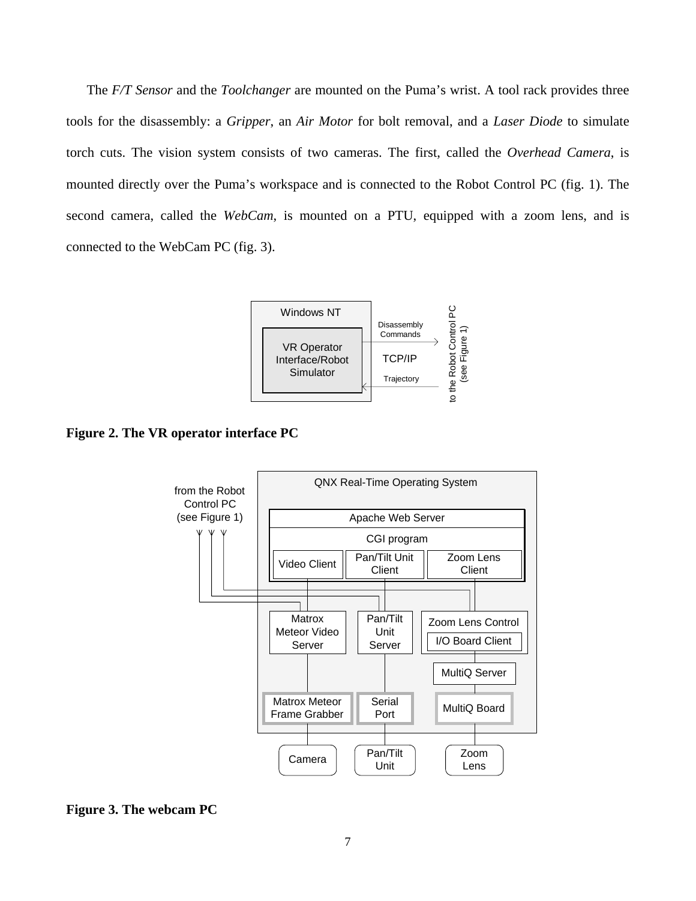The *F/T Sensor* and the *Toolchanger* are mounted on the Puma's wrist. A tool rack provides three tools for the disassembly: a *Gripper*, an *Air Motor* for bolt removal, and a *Laser Diode* to simulate torch cuts. The vision system consists of two cameras. The first, called the *Overhead Camera*, is mounted directly over the Puma's workspace and is connected to the Robot Control PC (fig. 1). The second camera, called the *WebCam*, is mounted on a PTU, equipped with a zoom lens, and is connected to the WebCam PC (fig. 3).



**Figure 2. The VR operator interface PC** 



**Figure 3. The webcam PC**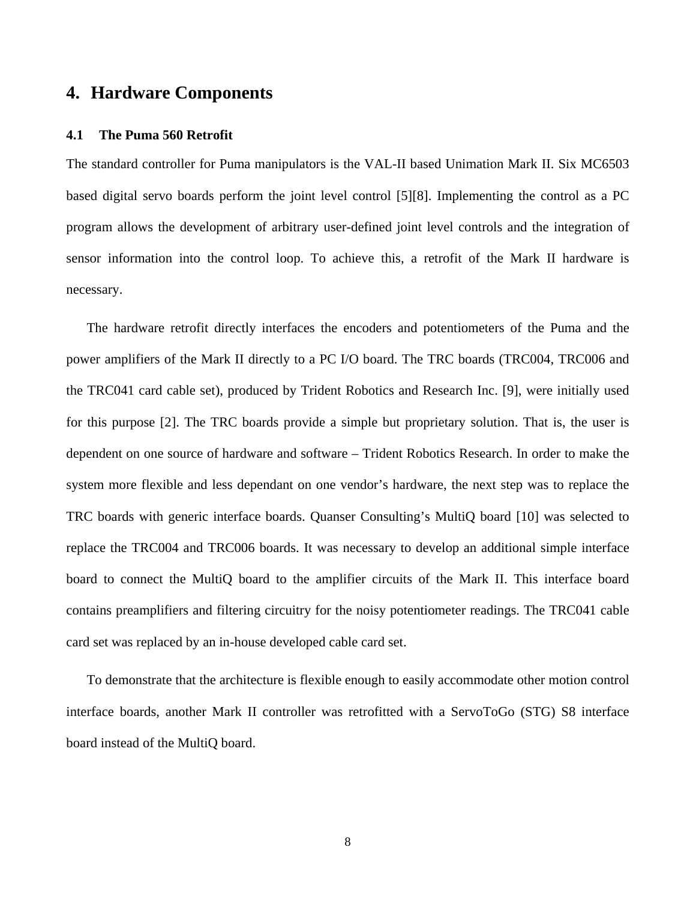# **4. Hardware Components**

#### **4.1 The Puma 560 Retrofit**

The standard controller for Puma manipulators is the VAL-II based Unimation Mark II. Six MC6503 based digital servo boards perform the joint level control [5][8]. Implementing the control as a PC program allows the development of arbitrary user-defined joint level controls and the integration of sensor information into the control loop. To achieve this, a retrofit of the Mark II hardware is necessary.

The hardware retrofit directly interfaces the encoders and potentiometers of the Puma and the power amplifiers of the Mark II directly to a PC I/O board. The TRC boards (TRC004, TRC006 and the TRC041 card cable set), produced by Trident Robotics and Research Inc. [9], were initially used for this purpose [2]. The TRC boards provide a simple but proprietary solution. That is, the user is dependent on one source of hardware and software – Trident Robotics Research. In order to make the system more flexible and less dependant on one vendor's hardware, the next step was to replace the TRC boards with generic interface boards. Quanser Consulting's MultiQ board [10] was selected to replace the TRC004 and TRC006 boards. It was necessary to develop an additional simple interface board to connect the MultiQ board to the amplifier circuits of the Mark II. This interface board contains preamplifiers and filtering circuitry for the noisy potentiometer readings. The TRC041 cable card set was replaced by an in-house developed cable card set.

To demonstrate that the architecture is flexible enough to easily accommodate other motion control interface boards, another Mark II controller was retrofitted with a ServoToGo (STG) S8 interface board instead of the MultiQ board.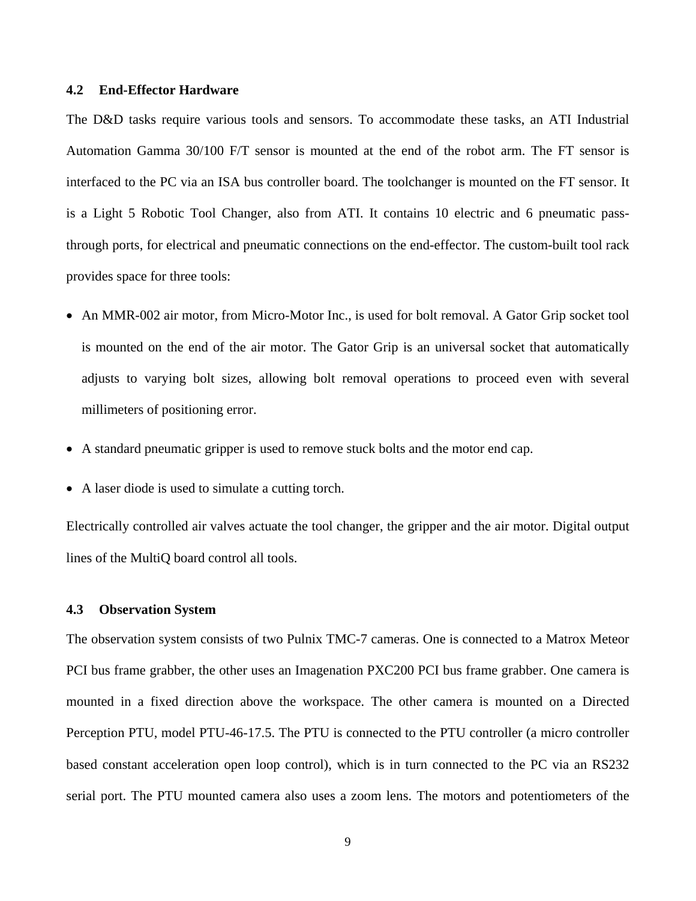#### **4.2 End-Effector Hardware**

The D&D tasks require various tools and sensors. To accommodate these tasks, an ATI Industrial Automation Gamma 30/100 F/T sensor is mounted at the end of the robot arm. The FT sensor is interfaced to the PC via an ISA bus controller board. The toolchanger is mounted on the FT sensor. It is a Light 5 Robotic Tool Changer, also from ATI. It contains 10 electric and 6 pneumatic passthrough ports, for electrical and pneumatic connections on the end-effector. The custom-built tool rack provides space for three tools:

- An MMR-002 air motor, from Micro-Motor Inc., is used for bolt removal. A Gator Grip socket tool is mounted on the end of the air motor. The Gator Grip is an universal socket that automatically adjusts to varying bolt sizes, allowing bolt removal operations to proceed even with several millimeters of positioning error.
- A standard pneumatic gripper is used to remove stuck bolts and the motor end cap.
- A laser diode is used to simulate a cutting torch.

Electrically controlled air valves actuate the tool changer, the gripper and the air motor. Digital output lines of the MultiQ board control all tools.

#### **4.3 Observation System**

The observation system consists of two Pulnix TMC-7 cameras. One is connected to a Matrox Meteor PCI bus frame grabber, the other uses an Imagenation PXC200 PCI bus frame grabber. One camera is mounted in a fixed direction above the workspace. The other camera is mounted on a Directed Perception PTU, model PTU-46-17.5. The PTU is connected to the PTU controller (a micro controller based constant acceleration open loop control), which is in turn connected to the PC via an RS232 serial port. The PTU mounted camera also uses a zoom lens. The motors and potentiometers of the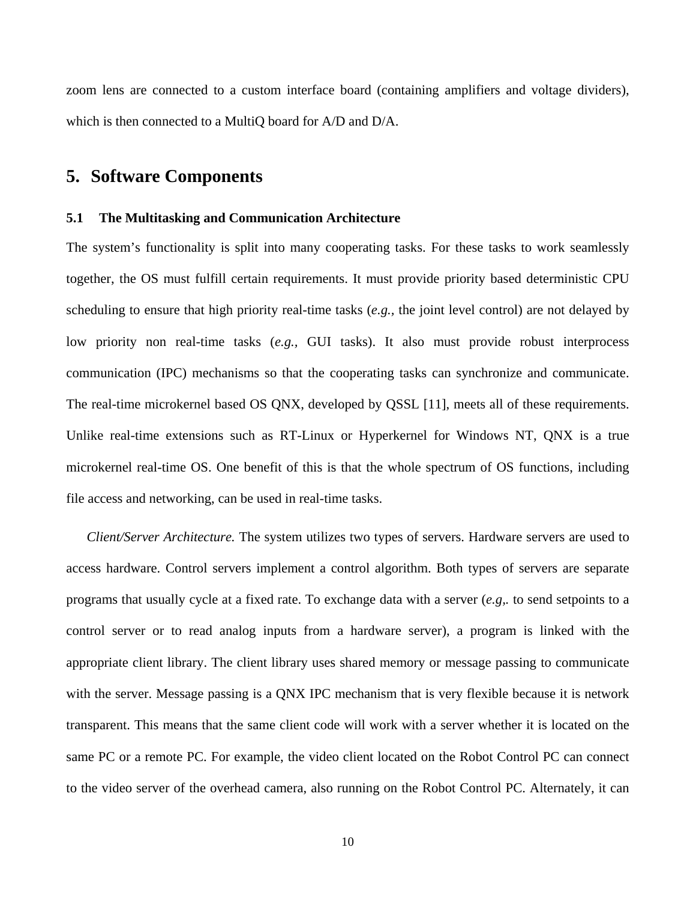zoom lens are connected to a custom interface board (containing amplifiers and voltage dividers), which is then connected to a MultiQ board for A/D and D/A.

### **5. Software Components**

#### **5.1 The Multitasking and Communication Architecture**

The system's functionality is split into many cooperating tasks. For these tasks to work seamlessly together, the OS must fulfill certain requirements. It must provide priority based deterministic CPU scheduling to ensure that high priority real-time tasks (*e.g.,* the joint level control) are not delayed by low priority non real-time tasks (*e.g.,* GUI tasks). It also must provide robust interprocess communication (IPC) mechanisms so that the cooperating tasks can synchronize and communicate. The real-time microkernel based OS QNX, developed by QSSL [11], meets all of these requirements. Unlike real-time extensions such as RT-Linux or Hyperkernel for Windows NT, QNX is a true microkernel real-time OS. One benefit of this is that the whole spectrum of OS functions, including file access and networking, can be used in real-time tasks.

*Client/Server Architecture.* The system utilizes two types of servers. Hardware servers are used to access hardware. Control servers implement a control algorithm. Both types of servers are separate programs that usually cycle at a fixed rate. To exchange data with a server (*e.g,.* to send setpoints to a control server or to read analog inputs from a hardware server), a program is linked with the appropriate client library. The client library uses shared memory or message passing to communicate with the server. Message passing is a QNX IPC mechanism that is very flexible because it is network transparent. This means that the same client code will work with a server whether it is located on the same PC or a remote PC. For example, the video client located on the Robot Control PC can connect to the video server of the overhead camera, also running on the Robot Control PC. Alternately, it can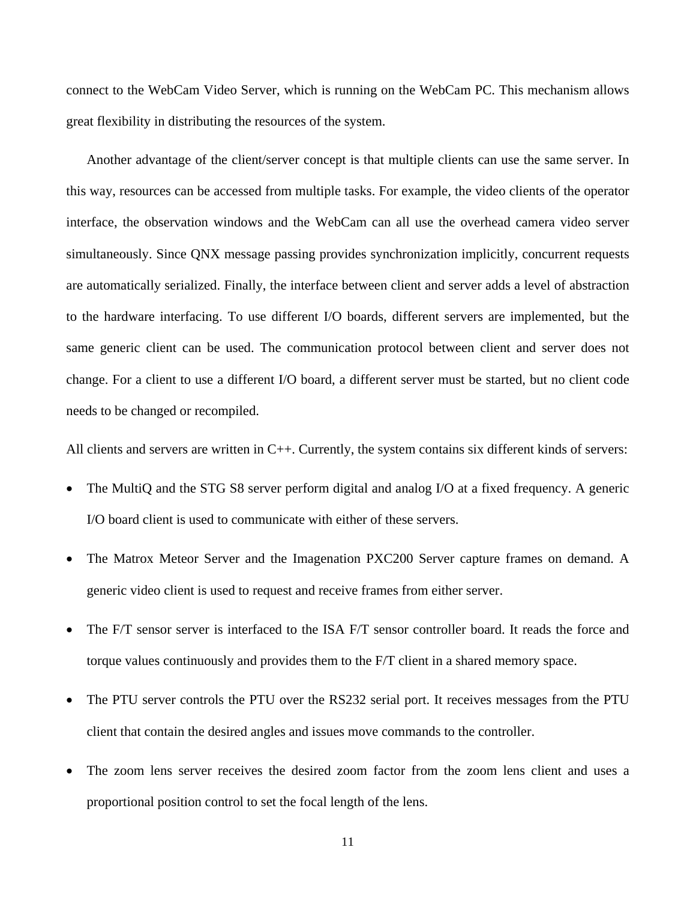connect to the WebCam Video Server, which is running on the WebCam PC. This mechanism allows great flexibility in distributing the resources of the system.

Another advantage of the client/server concept is that multiple clients can use the same server. In this way, resources can be accessed from multiple tasks. For example, the video clients of the operator interface, the observation windows and the WebCam can all use the overhead camera video server simultaneously. Since QNX message passing provides synchronization implicitly, concurrent requests are automatically serialized. Finally, the interface between client and server adds a level of abstraction to the hardware interfacing. To use different I/O boards, different servers are implemented, but the same generic client can be used. The communication protocol between client and server does not change. For a client to use a different I/O board, a different server must be started, but no client code needs to be changed or recompiled.

All clients and servers are written in C++. Currently, the system contains six different kinds of servers:

- The MultiQ and the STG S8 server perform digital and analog I/O at a fixed frequency. A generic I/O board client is used to communicate with either of these servers.
- The Matrox Meteor Server and the Imagenation PXC200 Server capture frames on demand. A generic video client is used to request and receive frames from either server.
- The F/T sensor server is interfaced to the ISA F/T sensor controller board. It reads the force and torque values continuously and provides them to the F/T client in a shared memory space.
- The PTU server controls the PTU over the RS232 serial port. It receives messages from the PTU client that contain the desired angles and issues move commands to the controller.
- The zoom lens server receives the desired zoom factor from the zoom lens client and uses a proportional position control to set the focal length of the lens.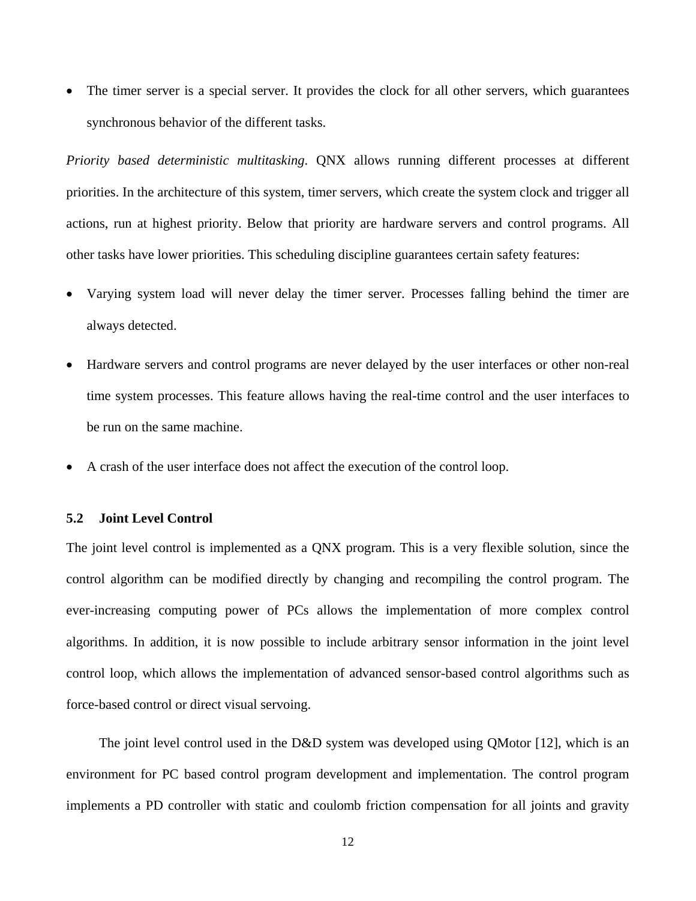• The timer server is a special server. It provides the clock for all other servers, which guarantees synchronous behavior of the different tasks.

*Priority based deterministic multitasking*. QNX allows running different processes at different priorities. In the architecture of this system, timer servers, which create the system clock and trigger all actions, run at highest priority. Below that priority are hardware servers and control programs. All other tasks have lower priorities. This scheduling discipline guarantees certain safety features:

- Varying system load will never delay the timer server. Processes falling behind the timer are always detected.
- Hardware servers and control programs are never delayed by the user interfaces or other non-real time system processes. This feature allows having the real-time control and the user interfaces to be run on the same machine.
- A crash of the user interface does not affect the execution of the control loop.

#### **5.2 Joint Level Control**

The joint level control is implemented as a QNX program. This is a very flexible solution, since the control algorithm can be modified directly by changing and recompiling the control program. The ever-increasing computing power of PCs allows the implementation of more complex control algorithms. In addition, it is now possible to include arbitrary sensor information in the joint level control loop, which allows the implementation of advanced sensor-based control algorithms such as force-based control or direct visual servoing.

The joint level control used in the D&D system was developed using QMotor [12], which is an environment for PC based control program development and implementation. The control program implements a PD controller with static and coulomb friction compensation for all joints and gravity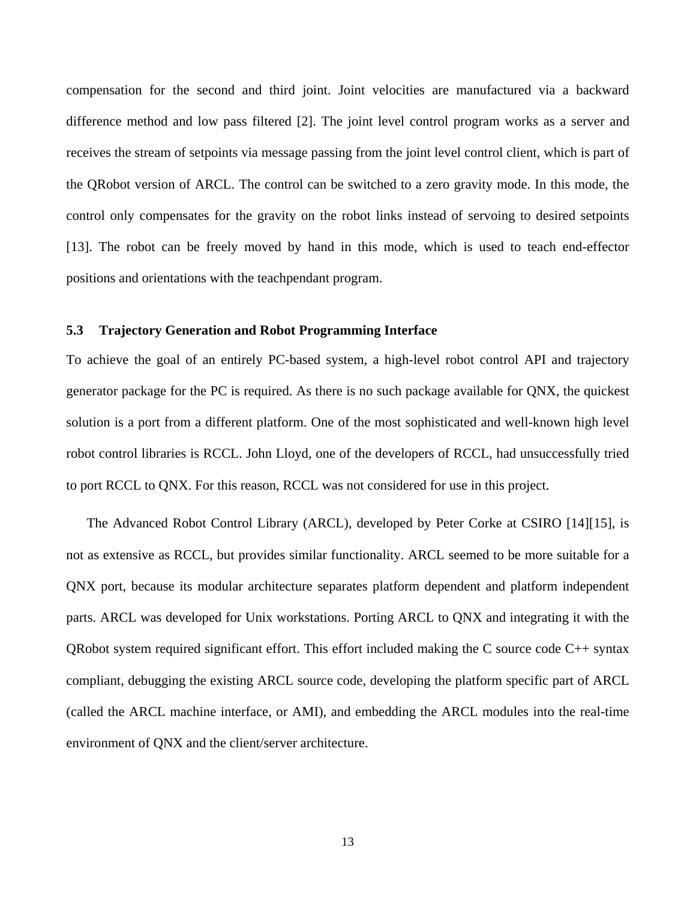compensation for the second and third joint. Joint velocities are manufactured via a backward difference method and low pass filtered [2]. The joint level control program works as a server and receives the stream of setpoints via message passing from the joint level control client, which is part of the QRobot version of ARCL. The control can be switched to a zero gravity mode. In this mode, the control only compensates for the gravity on the robot links instead of servoing to desired setpoints [13]. The robot can be freely moved by hand in this mode, which is used to teach end-effector positions and orientations with the teachpendant program.

#### **5.3 Trajectory Generation and Robot Programming Interface**

To achieve the goal of an entirely PC-based system, a high-level robot control API and trajectory generator package for the PC is required. As there is no such package available for QNX, the quickest solution is a port from a different platform. One of the most sophisticated and well-known high level robot control libraries is RCCL. John Lloyd, one of the developers of RCCL, had unsuccessfully tried to port RCCL to QNX. For this reason, RCCL was not considered for use in this project.

The Advanced Robot Control Library (ARCL), developed by Peter Corke at CSIRO [14][15], is not as extensive as RCCL, but provides similar functionality. ARCL seemed to be more suitable for a QNX port, because its modular architecture separates platform dependent and platform independent parts. ARCL was developed for Unix workstations. Porting ARCL to QNX and integrating it with the QRobot system required significant effort. This effort included making the C source code C++ syntax compliant, debugging the existing ARCL source code, developing the platform specific part of ARCL (called the ARCL machine interface, or AMI), and embedding the ARCL modules into the real-time environment of QNX and the client/server architecture.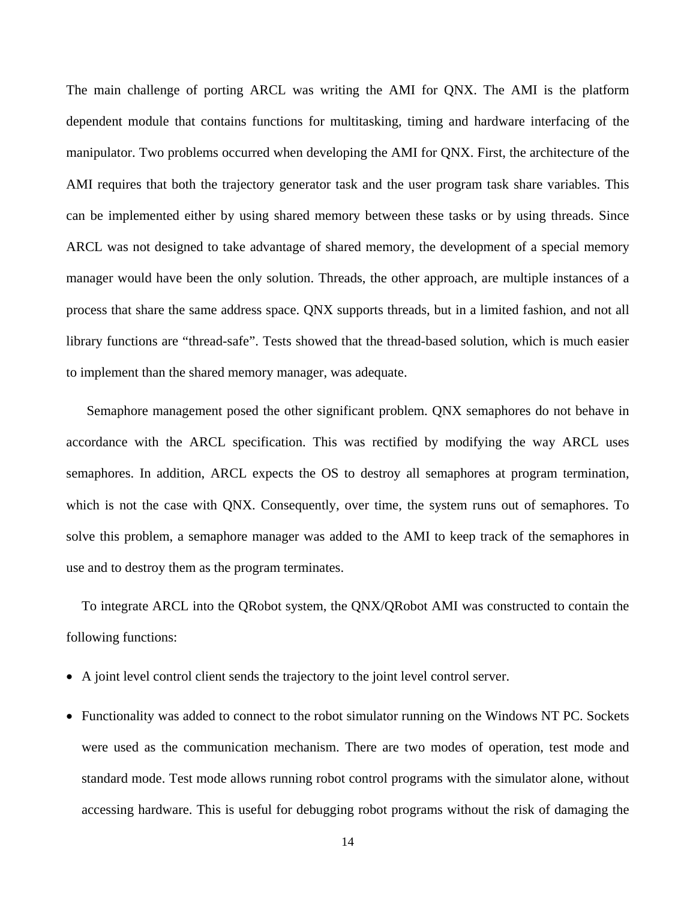The main challenge of porting ARCL was writing the AMI for QNX. The AMI is the platform dependent module that contains functions for multitasking, timing and hardware interfacing of the manipulator. Two problems occurred when developing the AMI for QNX. First, the architecture of the AMI requires that both the trajectory generator task and the user program task share variables. This can be implemented either by using shared memory between these tasks or by using threads. Since ARCL was not designed to take advantage of shared memory, the development of a special memory manager would have been the only solution. Threads, the other approach, are multiple instances of a process that share the same address space. QNX supports threads, but in a limited fashion, and not all library functions are "thread-safe". Tests showed that the thread-based solution, which is much easier to implement than the shared memory manager, was adequate.

Semaphore management posed the other significant problem. QNX semaphores do not behave in accordance with the ARCL specification. This was rectified by modifying the way ARCL uses semaphores. In addition, ARCL expects the OS to destroy all semaphores at program termination, which is not the case with QNX. Consequently, over time, the system runs out of semaphores. To solve this problem, a semaphore manager was added to the AMI to keep track of the semaphores in use and to destroy them as the program terminates.

To integrate ARCL into the QRobot system, the QNX/QRobot AMI was constructed to contain the following functions:

- A joint level control client sends the trajectory to the joint level control server.
- Functionality was added to connect to the robot simulator running on the Windows NT PC. Sockets were used as the communication mechanism. There are two modes of operation, test mode and standard mode. Test mode allows running robot control programs with the simulator alone, without accessing hardware. This is useful for debugging robot programs without the risk of damaging the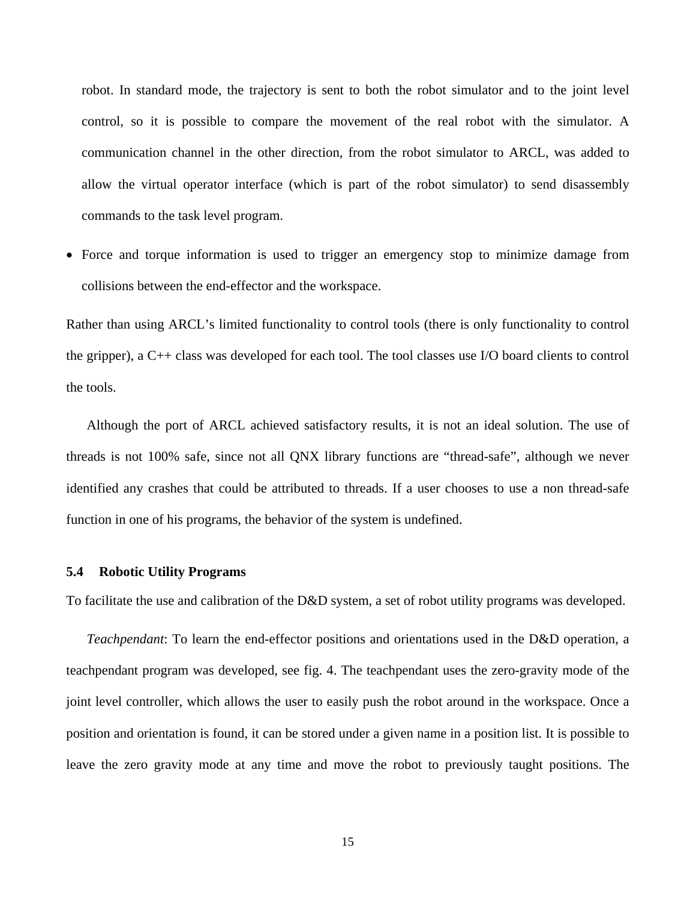robot. In standard mode, the trajectory is sent to both the robot simulator and to the joint level control, so it is possible to compare the movement of the real robot with the simulator. A communication channel in the other direction, from the robot simulator to ARCL, was added to allow the virtual operator interface (which is part of the robot simulator) to send disassembly commands to the task level program.

• Force and torque information is used to trigger an emergency stop to minimize damage from collisions between the end-effector and the workspace.

Rather than using ARCL's limited functionality to control tools (there is only functionality to control the gripper), a C++ class was developed for each tool. The tool classes use I/O board clients to control the tools.

Although the port of ARCL achieved satisfactory results, it is not an ideal solution. The use of threads is not 100% safe, since not all QNX library functions are "thread-safe", although we never identified any crashes that could be attributed to threads. If a user chooses to use a non thread-safe function in one of his programs, the behavior of the system is undefined.

#### **5.4 Robotic Utility Programs**

To facilitate the use and calibration of the D&D system, a set of robot utility programs was developed.

*Teachpendant*: To learn the end-effector positions and orientations used in the D&D operation, a teachpendant program was developed, see fig. 4. The teachpendant uses the zero-gravity mode of the joint level controller, which allows the user to easily push the robot around in the workspace. Once a position and orientation is found, it can be stored under a given name in a position list. It is possible to leave the zero gravity mode at any time and move the robot to previously taught positions. The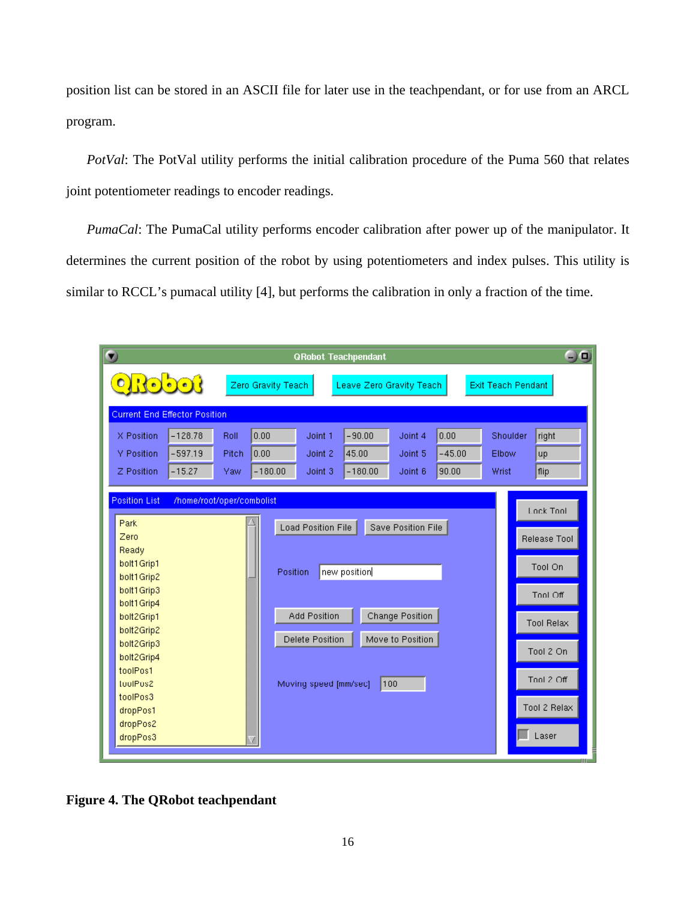position list can be stored in an ASCII file for later use in the teachpendant, or for use from an ARCL program.

*PotVal*: The PotVal utility performs the initial calibration procedure of the Puma 560 that relates joint potentiometer readings to encoder readings.

*PumaCal*: The PumaCal utility performs encoder calibration after power up of the manipulator. It determines the current position of the robot by using potentiometers and index pulses. This utility is similar to RCCL's pumacal utility [4], but performs the calibration in only a fraction of the time.

| $\bullet$                                                      |                                                  |           |       | <b>QRobot Teachpendant</b>             |                       |                          |                  |          |                           | $\neg$ $\Box$     |  |
|----------------------------------------------------------------|--------------------------------------------------|-----------|-------|----------------------------------------|-----------------------|--------------------------|------------------|----------|---------------------------|-------------------|--|
| <u>orođarje</u>                                                |                                                  |           |       | Zero Gravity Teach                     |                       | Leave Zero Gravity Teach |                  |          | <b>Exit Teach Pendant</b> |                   |  |
| <b>Current End Effector Position</b>                           |                                                  |           |       |                                        |                       |                          |                  |          |                           |                   |  |
|                                                                | X Position                                       | $-128.78$ | Roll  | 0.00                                   | Joint 1               | $-90.00$                 | Joint 4          | 0.00     | Shoulder                  | right             |  |
|                                                                | Y Position                                       | $-597.19$ | Pitch | 0.00                                   | Joint 2               | 45.00                    | Joint 5          | $-45.00$ | Elbow                     | up                |  |
|                                                                | Z Position                                       | $-15.27$  | Yaw   | $-180.00$                              | Joint 3               | $-180.00$                | Joint 6          | 90.00    | Wrist                     | flip              |  |
|                                                                |                                                  |           |       |                                        |                       |                          |                  |          |                           |                   |  |
| <b>Position List</b><br>/home/root/oper/combolist<br>Lock Tool |                                                  |           |       |                                        |                       |                          |                  |          |                           |                   |  |
|                                                                | Park<br>Load Position File<br>Save Position File |           |       |                                        |                       |                          |                  |          |                           |                   |  |
|                                                                | Zero                                             |           |       |                                        |                       |                          |                  |          |                           | Release Tool      |  |
|                                                                | Ready<br>bolt1Grip1                              |           |       |                                        |                       |                          |                  |          |                           | Tool On           |  |
|                                                                | bolt1Grip2                                       |           |       | Position<br>new position               |                       |                          |                  |          |                           |                   |  |
|                                                                | bolt1Grip3                                       |           |       |                                        |                       |                          |                  |          |                           | Tool Off          |  |
|                                                                | bolt1Grip4<br>bolt2Grip1                         |           |       | Change Position<br><b>Add Position</b> |                       |                          |                  |          |                           |                   |  |
| bolt2Grip2                                                     |                                                  |           |       |                                        |                       |                          |                  |          |                           | <b>Tool Relax</b> |  |
|                                                                | bolt2Grip3                                       |           |       |                                        | Delete Position       |                          | Move to Position |          |                           | Tool 2 On         |  |
|                                                                | bolt2Grip4                                       |           |       |                                        |                       |                          |                  |          |                           |                   |  |
|                                                                | toolPos1<br>toolPos2                             |           |       |                                        | Moving speed [mm/sec] |                          | 100              |          |                           | Tool 2 Off        |  |
|                                                                | toolPos3                                         |           |       |                                        |                       |                          |                  |          |                           |                   |  |
|                                                                | dropPos1                                         |           |       |                                        |                       |                          |                  |          |                           | Tool 2 Relax      |  |
|                                                                | dropPos2                                         |           |       |                                        |                       |                          |                  |          |                           | Laser             |  |
|                                                                | dropPos3                                         |           |       |                                        |                       |                          |                  |          |                           |                   |  |

**Figure 4. The QRobot teachpendant**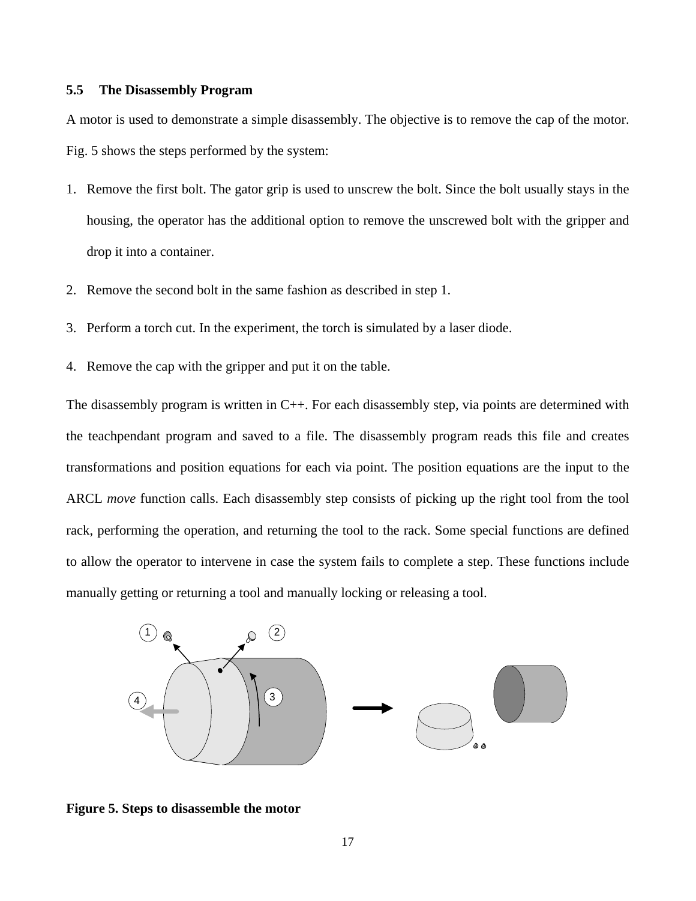#### **5.5 The Disassembly Program**

A motor is used to demonstrate a simple disassembly. The objective is to remove the cap of the motor. Fig. 5 shows the steps performed by the system:

- 1. Remove the first bolt. The gator grip is used to unscrew the bolt. Since the bolt usually stays in the housing, the operator has the additional option to remove the unscrewed bolt with the gripper and drop it into a container.
- 2. Remove the second bolt in the same fashion as described in step 1.
- 3. Perform a torch cut. In the experiment, the torch is simulated by a laser diode.
- 4. Remove the cap with the gripper and put it on the table.

The disassembly program is written in C++. For each disassembly step, via points are determined with the teachpendant program and saved to a file. The disassembly program reads this file and creates transformations and position equations for each via point. The position equations are the input to the ARCL *move* function calls. Each disassembly step consists of picking up the right tool from the tool rack, performing the operation, and returning the tool to the rack. Some special functions are defined to allow the operator to intervene in case the system fails to complete a step. These functions include manually getting or returning a tool and manually locking or releasing a tool.



**Figure 5. Steps to disassemble the motor**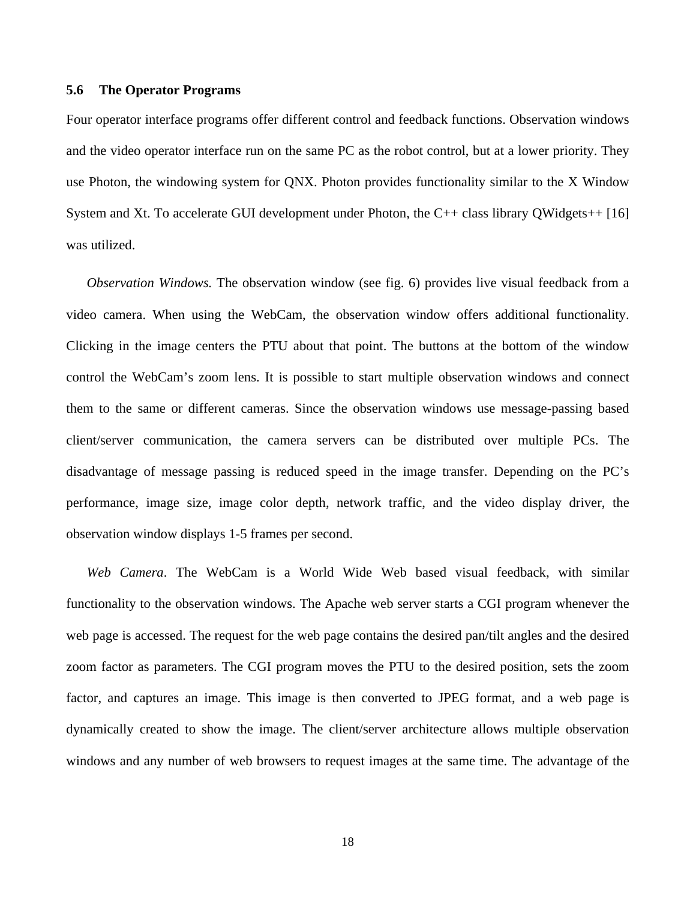#### **5.6 The Operator Programs**

Four operator interface programs offer different control and feedback functions. Observation windows and the video operator interface run on the same PC as the robot control, but at a lower priority. They use Photon, the windowing system for QNX. Photon provides functionality similar to the X Window System and Xt. To accelerate GUI development under Photon, the C++ class library QWidgets++ [16] was utilized.

*Observation Windows.* The observation window (see fig. 6) provides live visual feedback from a video camera. When using the WebCam, the observation window offers additional functionality. Clicking in the image centers the PTU about that point. The buttons at the bottom of the window control the WebCam's zoom lens. It is possible to start multiple observation windows and connect them to the same or different cameras. Since the observation windows use message-passing based client/server communication, the camera servers can be distributed over multiple PCs. The disadvantage of message passing is reduced speed in the image transfer. Depending on the PC's performance, image size, image color depth, network traffic, and the video display driver, the observation window displays 1-5 frames per second.

*Web Camera*. The WebCam is a World Wide Web based visual feedback, with similar functionality to the observation windows. The Apache web server starts a CGI program whenever the web page is accessed. The request for the web page contains the desired pan/tilt angles and the desired zoom factor as parameters. The CGI program moves the PTU to the desired position, sets the zoom factor, and captures an image. This image is then converted to JPEG format, and a web page is dynamically created to show the image. The client/server architecture allows multiple observation windows and any number of web browsers to request images at the same time. The advantage of the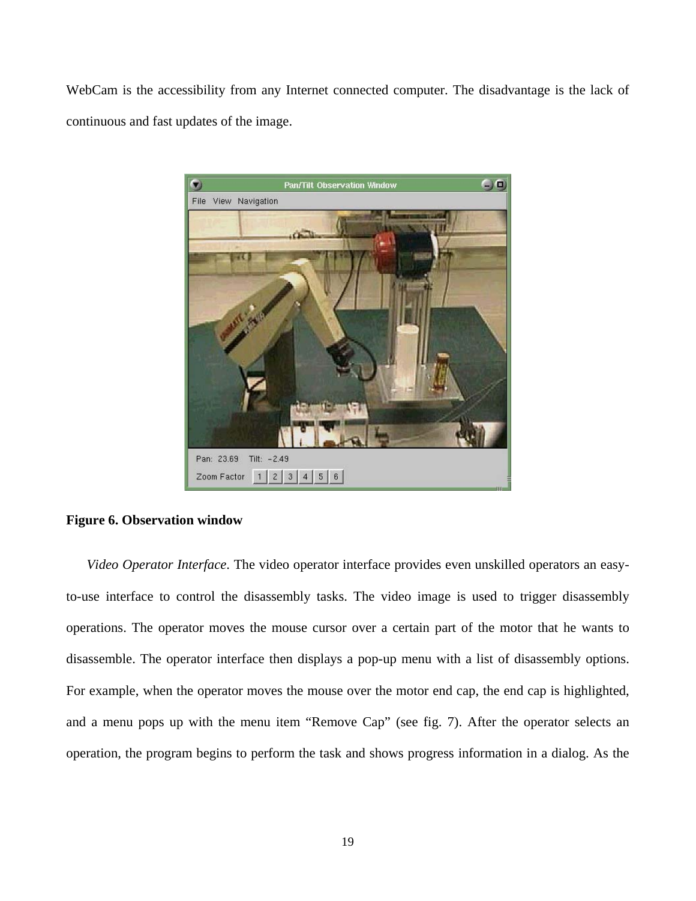WebCam is the accessibility from any Internet connected computer. The disadvantage is the lack of continuous and fast updates of the image.



#### **Figure 6. Observation window**

*Video Operator Interface*. The video operator interface provides even unskilled operators an easyto-use interface to control the disassembly tasks. The video image is used to trigger disassembly operations. The operator moves the mouse cursor over a certain part of the motor that he wants to disassemble. The operator interface then displays a pop-up menu with a list of disassembly options. For example, when the operator moves the mouse over the motor end cap, the end cap is highlighted, and a menu pops up with the menu item "Remove Cap" (see fig. 7). After the operator selects an operation, the program begins to perform the task and shows progress information in a dialog. As the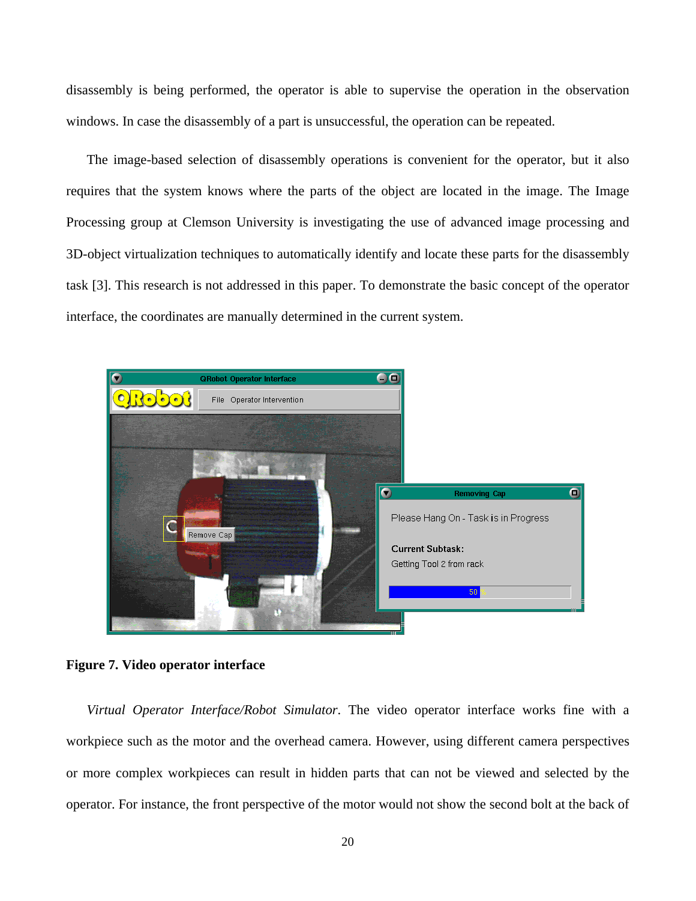disassembly is being performed, the operator is able to supervise the operation in the observation windows. In case the disassembly of a part is unsuccessful, the operation can be repeated.

The image-based selection of disassembly operations is convenient for the operator, but it also requires that the system knows where the parts of the object are located in the image. The Image Processing group at Clemson University is investigating the use of advanced image processing and 3D-object virtualization techniques to automatically identify and locate these parts for the disassembly task [3]. This research is not addressed in this paper. To demonstrate the basic concept of the operator interface, the coordinates are manually determined in the current system.



**Figure 7. Video operator interface** 

*Virtual Operator Interface/Robot Simulator*. The video operator interface works fine with a workpiece such as the motor and the overhead camera. However, using different camera perspectives or more complex workpieces can result in hidden parts that can not be viewed and selected by the operator. For instance, the front perspective of the motor would not show the second bolt at the back of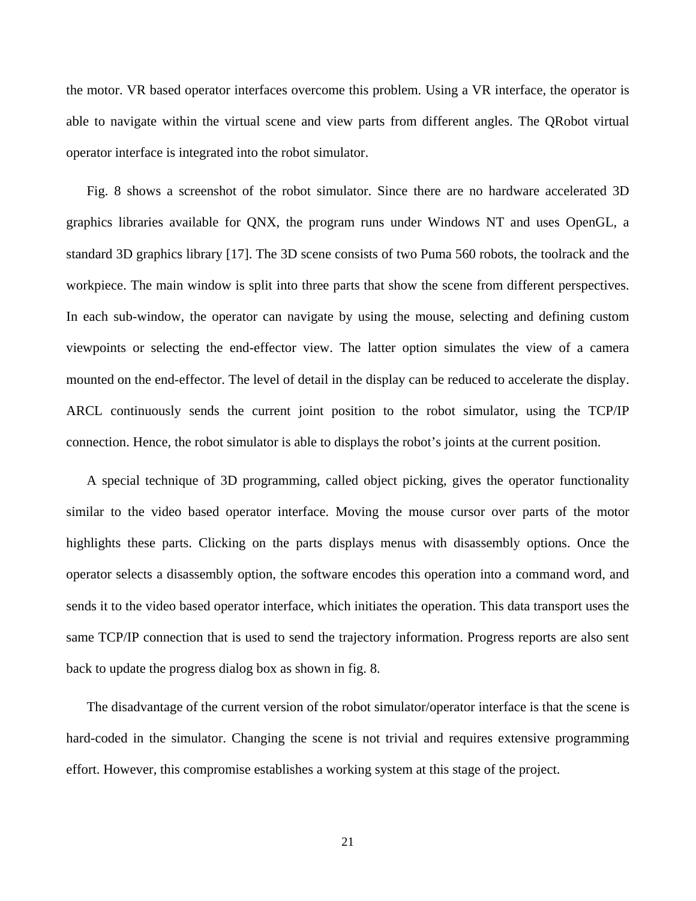the motor. VR based operator interfaces overcome this problem. Using a VR interface, the operator is able to navigate within the virtual scene and view parts from different angles. The QRobot virtual operator interface is integrated into the robot simulator.

Fig. 8 shows a screenshot of the robot simulator. Since there are no hardware accelerated 3D graphics libraries available for QNX, the program runs under Windows NT and uses OpenGL, a standard 3D graphics library [17]. The 3D scene consists of two Puma 560 robots, the toolrack and the workpiece. The main window is split into three parts that show the scene from different perspectives. In each sub-window, the operator can navigate by using the mouse, selecting and defining custom viewpoints or selecting the end-effector view. The latter option simulates the view of a camera mounted on the end-effector. The level of detail in the display can be reduced to accelerate the display. ARCL continuously sends the current joint position to the robot simulator, using the TCP/IP connection. Hence, the robot simulator is able to displays the robot's joints at the current position.

A special technique of 3D programming, called object picking, gives the operator functionality similar to the video based operator interface. Moving the mouse cursor over parts of the motor highlights these parts. Clicking on the parts displays menus with disassembly options. Once the operator selects a disassembly option, the software encodes this operation into a command word, and sends it to the video based operator interface, which initiates the operation. This data transport uses the same TCP/IP connection that is used to send the trajectory information. Progress reports are also sent back to update the progress dialog box as shown in fig. 8.

The disadvantage of the current version of the robot simulator/operator interface is that the scene is hard-coded in the simulator. Changing the scene is not trivial and requires extensive programming effort. However, this compromise establishes a working system at this stage of the project.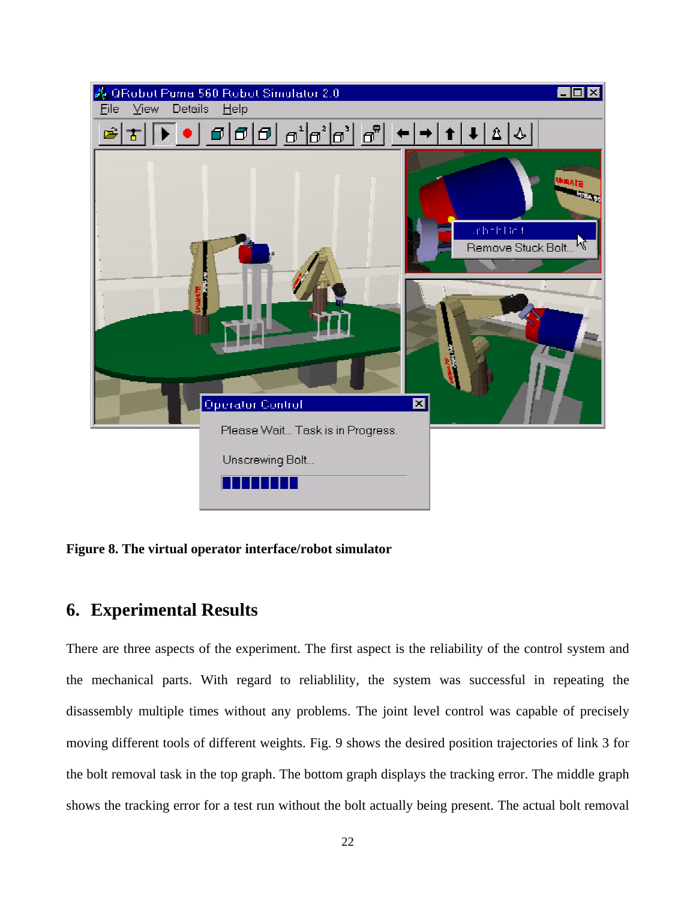

**Figure 8. The virtual operator interface/robot simulator** 

# **6. Experimental Results**

There are three aspects of the experiment. The first aspect is the reliability of the control system and the mechanical parts. With regard to reliablility, the system was successful in repeating the disassembly multiple times without any problems. The joint level control was capable of precisely moving different tools of different weights. Fig. 9 shows the desired position trajectories of link 3 for the bolt removal task in the top graph. The bottom graph displays the tracking error. The middle graph shows the tracking error for a test run without the bolt actually being present. The actual bolt removal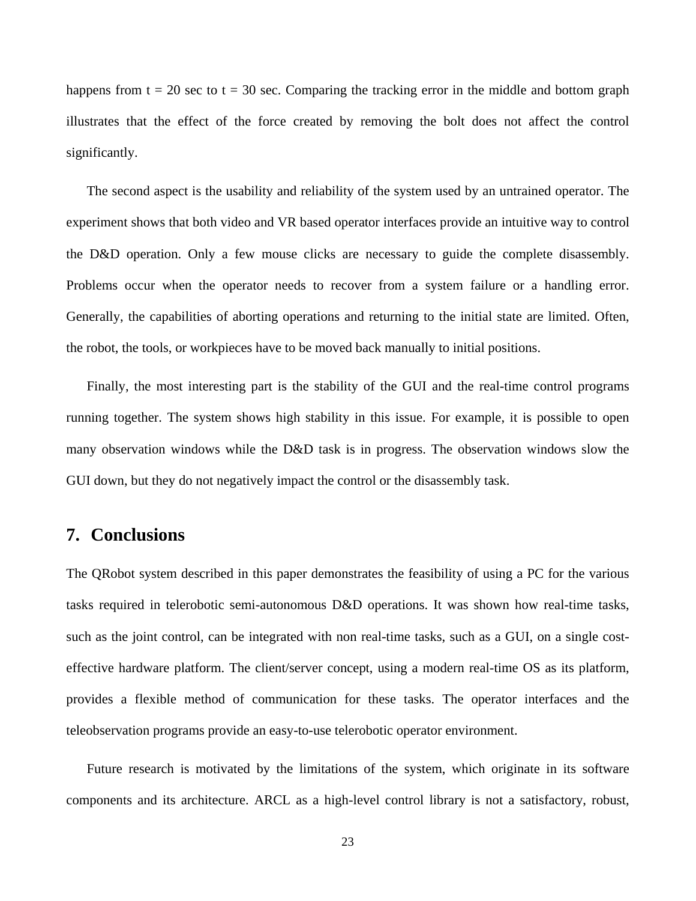happens from  $t = 20$  sec to  $t = 30$  sec. Comparing the tracking error in the middle and bottom graph illustrates that the effect of the force created by removing the bolt does not affect the control significantly.

The second aspect is the usability and reliability of the system used by an untrained operator. The experiment shows that both video and VR based operator interfaces provide an intuitive way to control the D&D operation. Only a few mouse clicks are necessary to guide the complete disassembly. Problems occur when the operator needs to recover from a system failure or a handling error. Generally, the capabilities of aborting operations and returning to the initial state are limited. Often, the robot, the tools, or workpieces have to be moved back manually to initial positions.

Finally, the most interesting part is the stability of the GUI and the real-time control programs running together. The system shows high stability in this issue. For example, it is possible to open many observation windows while the D&D task is in progress. The observation windows slow the GUI down, but they do not negatively impact the control or the disassembly task.

### **7. Conclusions**

The QRobot system described in this paper demonstrates the feasibility of using a PC for the various tasks required in telerobotic semi-autonomous D&D operations. It was shown how real-time tasks, such as the joint control, can be integrated with non real-time tasks, such as a GUI, on a single costeffective hardware platform. The client/server concept, using a modern real-time OS as its platform, provides a flexible method of communication for these tasks. The operator interfaces and the teleobservation programs provide an easy-to-use telerobotic operator environment.

Future research is motivated by the limitations of the system, which originate in its software components and its architecture. ARCL as a high-level control library is not a satisfactory, robust,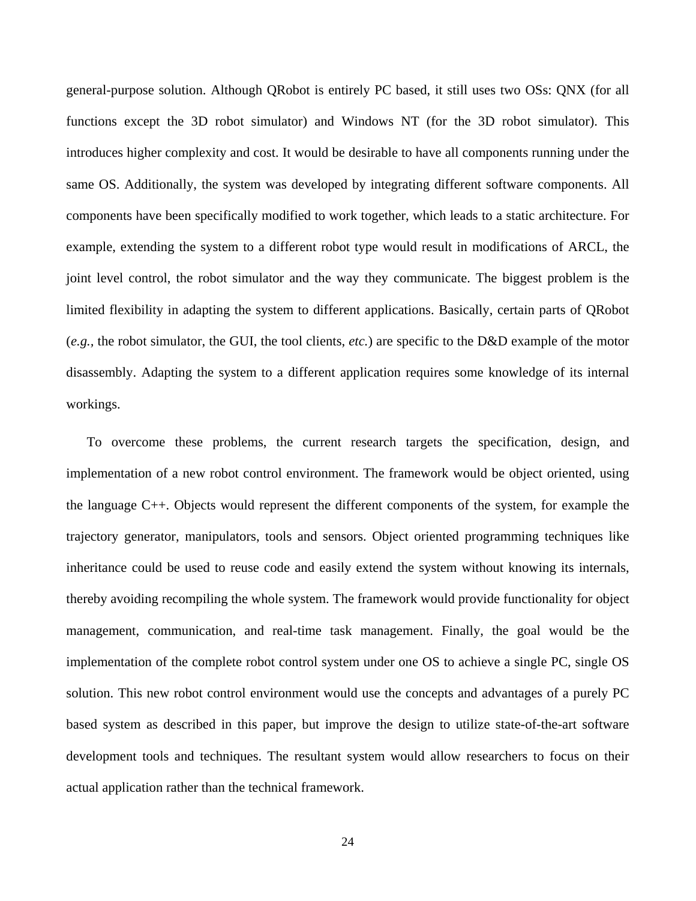general-purpose solution. Although QRobot is entirely PC based, it still uses two OSs: QNX (for all functions except the 3D robot simulator) and Windows NT (for the 3D robot simulator). This introduces higher complexity and cost. It would be desirable to have all components running under the same OS. Additionally, the system was developed by integrating different software components. All components have been specifically modified to work together, which leads to a static architecture. For example, extending the system to a different robot type would result in modifications of ARCL, the joint level control, the robot simulator and the way they communicate. The biggest problem is the limited flexibility in adapting the system to different applications. Basically, certain parts of QRobot (*e.g.,* the robot simulator, the GUI, the tool clients, *etc.*) are specific to the D&D example of the motor disassembly. Adapting the system to a different application requires some knowledge of its internal workings.

To overcome these problems, the current research targets the specification, design, and implementation of a new robot control environment. The framework would be object oriented, using the language C++. Objects would represent the different components of the system, for example the trajectory generator, manipulators, tools and sensors. Object oriented programming techniques like inheritance could be used to reuse code and easily extend the system without knowing its internals, thereby avoiding recompiling the whole system. The framework would provide functionality for object management, communication, and real-time task management. Finally, the goal would be the implementation of the complete robot control system under one OS to achieve a single PC, single OS solution. This new robot control environment would use the concepts and advantages of a purely PC based system as described in this paper, but improve the design to utilize state-of-the-art software development tools and techniques. The resultant system would allow researchers to focus on their actual application rather than the technical framework.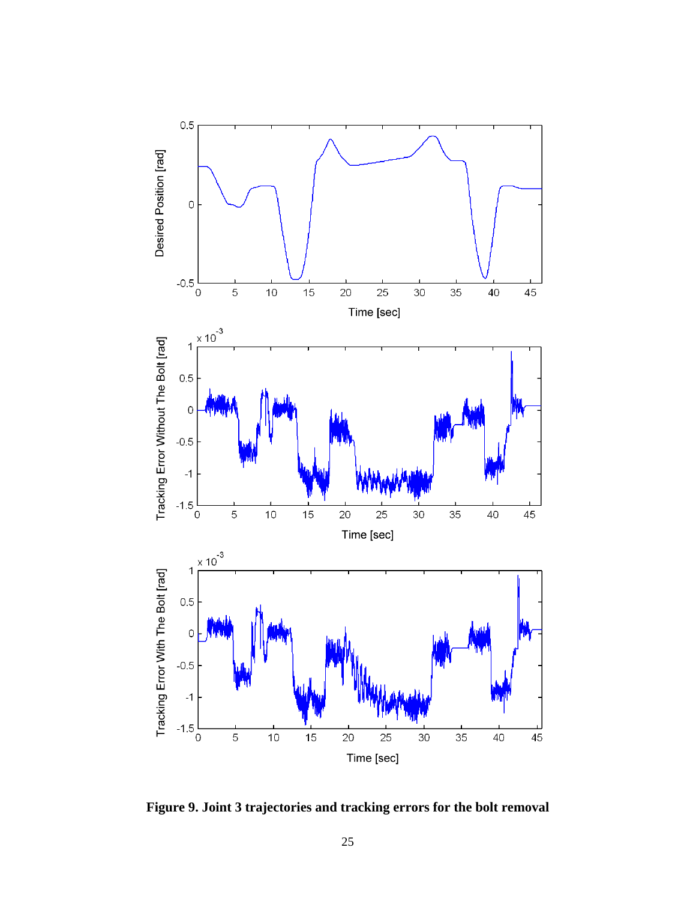

**Figure 9. Joint 3 trajectories and tracking errors for the bolt removal**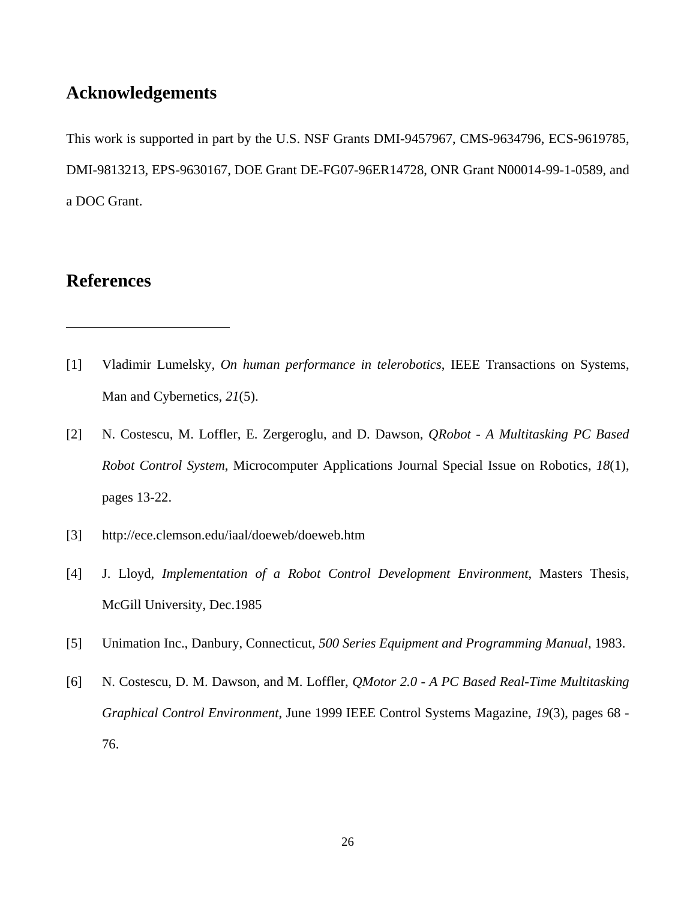# **Acknowledgements**

This work is supported in part by the U.S. NSF Grants DMI-9457967, CMS-9634796, ECS-9619785, DMI-9813213, EPS-9630167, DOE Grant DE-FG07-96ER14728, ONR Grant N00014-99-1-0589, and a DOC Grant.

# **References**

<u>.</u>

- [1] Vladimir Lumelsky*, On human performance in telerobotics*, IEEE Transactions on Systems, Man and Cybernetics, *21*(5).
- [2] N. Costescu, M. Loffler, E. Zergeroglu, and D. Dawson, *QRobot A Multitasking PC Based Robot Control System*, Microcomputer Applications Journal Special Issue on Robotics, *18*(1), pages 13-22.
- [3] http://ece.clemson.edu/iaal/doeweb/doeweb.htm
- [4] J. Lloyd, *Implementation of a Robot Control Development Environment*, Masters Thesis, McGill University, Dec.1985
- [5] Unimation Inc., Danbury, Connecticut, *500 Series Equipment and Programming Manual*, 1983.
- [6] N. Costescu, D. M. Dawson, and M. Loffler, *QMotor 2.0 A PC Based Real-Time Multitasking Graphical Control Environment*, June 1999 IEEE Control Systems Magazine, *19*(3), pages 68 - 76.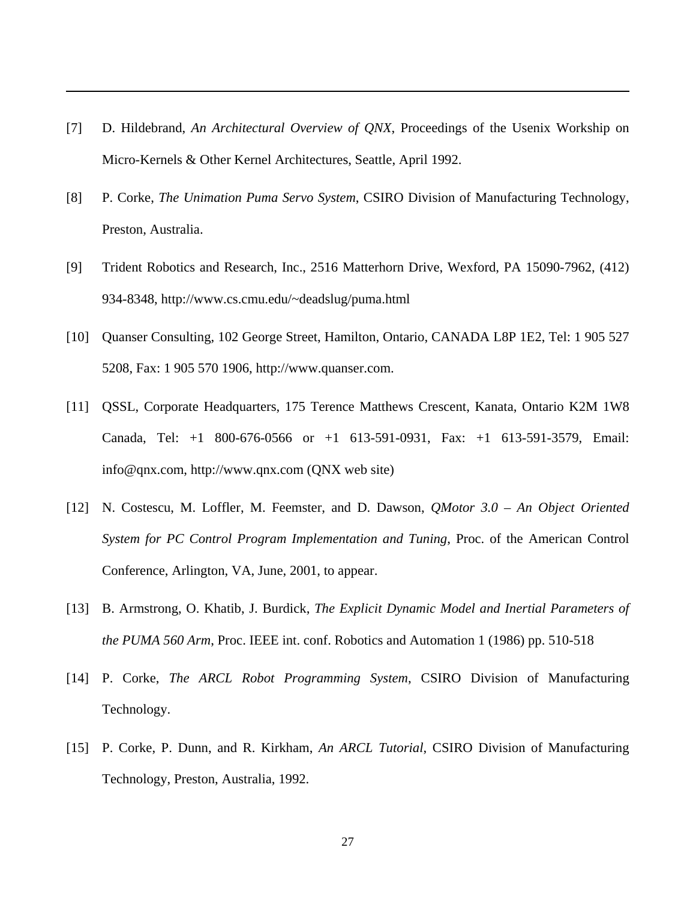[7] D. Hildebrand, *An Architectural Overview of QNX*, Proceedings of the Usenix Workship on Micro-Kernels & Other Kernel Architectures, Seattle, April 1992.

 $\overline{a}$ 

- [8] P. Corke, *The Unimation Puma Servo System*, CSIRO Division of Manufacturing Technology, Preston, Australia.
- [9] Trident Robotics and Research, Inc., 2516 Matterhorn Drive, Wexford, PA 15090-7962, (412) 934-8348, http://www.cs.cmu.edu/~deadslug/puma.html
- [10] Quanser Consulting, 102 George Street, Hamilton, Ontario, CANADA L8P 1E2, Tel: 1 905 527 5208, Fax: 1 905 570 1906, http://www.quanser.com.
- [11] QSSL, Corporate Headquarters, 175 Terence Matthews Crescent, Kanata, Ontario K2M 1W8 Canada, Tel: +1 800-676-0566 or +1 613-591-0931, Fax: +1 613-591-3579, Email: info@qnx.com, http://www.qnx.com (QNX web site)
- [12] N. Costescu, M. Loffler, M. Feemster, and D. Dawson, *QMotor 3.0 An Object Oriented System for PC Control Program Implementation and Tuning*, Proc. of the American Control Conference, Arlington, VA, June, 2001, to appear.
- [13] B. Armstrong, O. Khatib, J. Burdick, *The Explicit Dynamic Model and Inertial Parameters of the PUMA 560 Arm*, Proc. IEEE int. conf. Robotics and Automation 1 (1986) pp. 510-518
- [14] P. Corke, *The ARCL Robot Programming System*, CSIRO Division of Manufacturing Technology.
- [15] P. Corke, P. Dunn, and R. Kirkham, *An ARCL Tutorial*, CSIRO Division of Manufacturing Technology, Preston, Australia, 1992.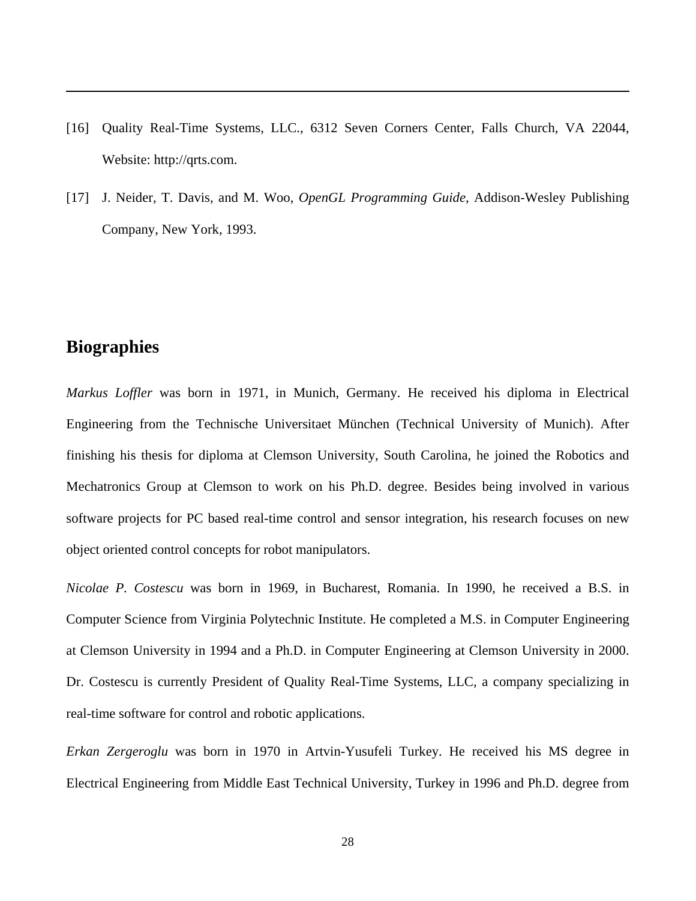- [16] Quality Real-Time Systems, LLC., 6312 Seven Corners Center, Falls Church, VA 22044, Website: http://qrts.com.
- [17] J. Neider, T. Davis, and M. Woo, *OpenGL Programming Guide*, Addison-Wesley Publishing Company, New York, 1993.

# **Biographies**

 $\overline{a}$ 

*Markus Loffler* was born in 1971, in Munich, Germany. He received his diploma in Electrical Engineering from the Technische Universitaet München (Technical University of Munich). After finishing his thesis for diploma at Clemson University, South Carolina, he joined the Robotics and Mechatronics Group at Clemson to work on his Ph.D. degree. Besides being involved in various software projects for PC based real-time control and sensor integration, his research focuses on new object oriented control concepts for robot manipulators.

*Nicolae P. Costescu* was born in 1969, in Bucharest, Romania. In 1990, he received a B.S. in Computer Science from Virginia Polytechnic Institute. He completed a M.S. in Computer Engineering at Clemson University in 1994 and a Ph.D. in Computer Engineering at Clemson University in 2000. Dr. Costescu is currently President of Quality Real-Time Systems, LLC, a company specializing in real-time software for control and robotic applications.

*Erkan Zergeroglu* was born in 1970 in Artvin-Yusufeli Turkey. He received his MS degree in Electrical Engineering from Middle East Technical University, Turkey in 1996 and Ph.D. degree from